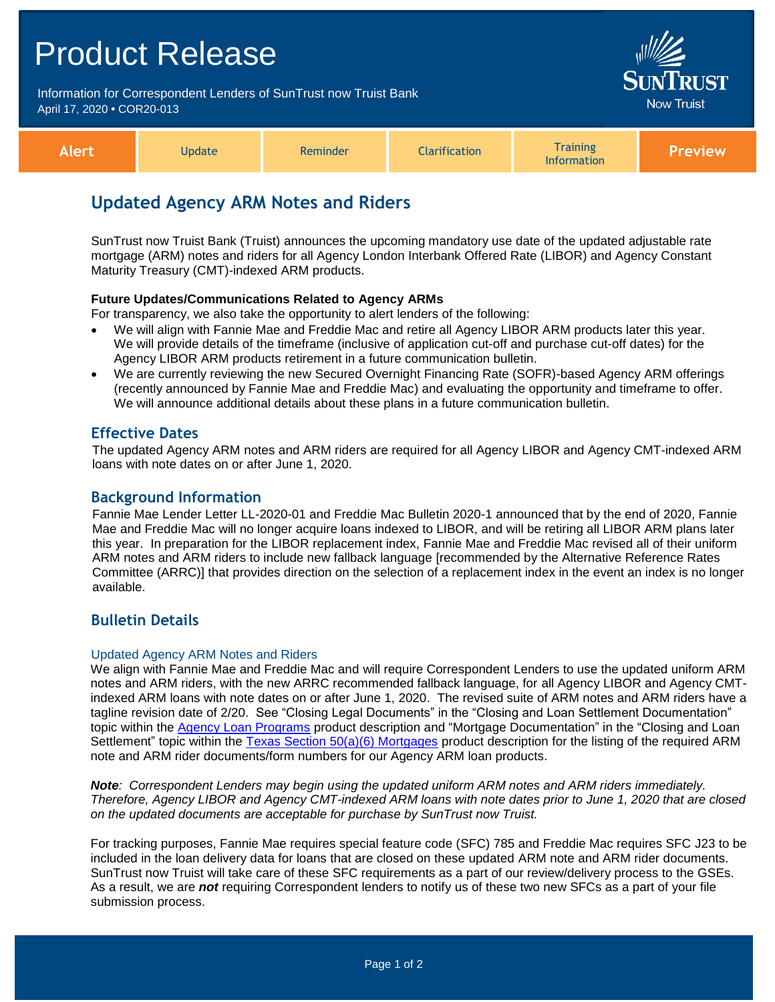# Product Release Information for Correspondent Lenders of SunTrust now Truist Bank Now Truist April 17, 2020 **•** COR20-013 **Training Alert Update Reminder Clarification Information Preview**

# **Updated Agency ARM Notes and Riders**

SunTrust now Truist Bank (Truist) announces the upcoming mandatory use date of the updated adjustable rate mortgage (ARM) notes and riders for all Agency London Interbank Offered Rate (LIBOR) and Agency Constant Maturity Treasury (CMT)-indexed ARM products.

#### **Future Updates/Communications Related to Agency ARMs**

For transparency, we also take the opportunity to alert lenders of the following:

- We will align with Fannie Mae and Freddie Mac and retire all Agency LIBOR ARM products later this year. We will provide details of the timeframe (inclusive of application cut-off and purchase cut-off dates) for the Agency LIBOR ARM products retirement in a future communication bulletin.
- We are currently reviewing the new Secured Overnight Financing Rate (SOFR)-based Agency ARM offerings (recently announced by Fannie Mae and Freddie Mac) and evaluating the opportunity and timeframe to offer. We will announce additional details about these plans in a future communication bulletin.

### **Effective Dates**

The updated Agency ARM notes and ARM riders are required for all Agency LIBOR and Agency CMT-indexed ARM loans with note dates on or after June 1, 2020.

#### **Background Information**

Fannie Mae Lender Letter LL-2020-01 and Freddie Mac Bulletin 2020-1 announced that by the end of 2020, Fannie Mae and Freddie Mac will no longer acquire loans indexed to LIBOR, and will be retiring all LIBOR ARM plans later this year. In preparation for the LIBOR replacement index, Fannie Mae and Freddie Mac revised all of their uniform ARM notes and ARM riders to include new fallback language [recommended by the Alternative Reference Rates Committee (ARRC)] that provides direction on the selection of a replacement index in the event an index is no longer available.

# **Bulletin Details**

#### Updated Agency ARM Notes and Riders

We align with Fannie Mae and Freddie Mac and will require Correspondent Lenders to use the updated uniform ARM notes and ARM riders, with the new ARRC recommended fallback language, for all Agency LIBOR and Agency CMTindexed ARM loans with note dates on or after June 1, 2020. The revised suite of ARM notes and ARM riders have a tagline revision date of 2/20. See "Closing Legal Documents" in the "Closing and Loan Settlement Documentation" topic within the [Agency Loan Programs](https://www.truistsellerguide.com/manual/cor/products/CAgency.pdf) product description and "Mortgage Documentation" in the "Closing and Loan Settlement" topic within the [Texas Section 50\(a\)\(6\) Mortgages](https://www.truistsellerguide.com/Manual/cor/products/CTexasRefi.pdf) product description for the listing of the required ARM note and ARM rider documents/form numbers for our Agency ARM loan products.

*Note: Correspondent Lenders may begin using the updated uniform ARM notes and ARM riders immediately. Therefore, Agency LIBOR and Agency CMT-indexed ARM loans with note dates prior to June 1, 2020 that are closed on the updated documents are acceptable for purchase by SunTrust now Truist.* 

For tracking purposes, Fannie Mae requires special feature code (SFC) 785 and Freddie Mac requires SFC J23 to be included in the loan delivery data for loans that are closed on these updated ARM note and ARM rider documents. SunTrust now Truist will take care of these SFC requirements as a part of our review/delivery process to the GSEs. As a result, we are *not* requiring Correspondent lenders to notify us of these two new SFCs as a part of your file submission process.